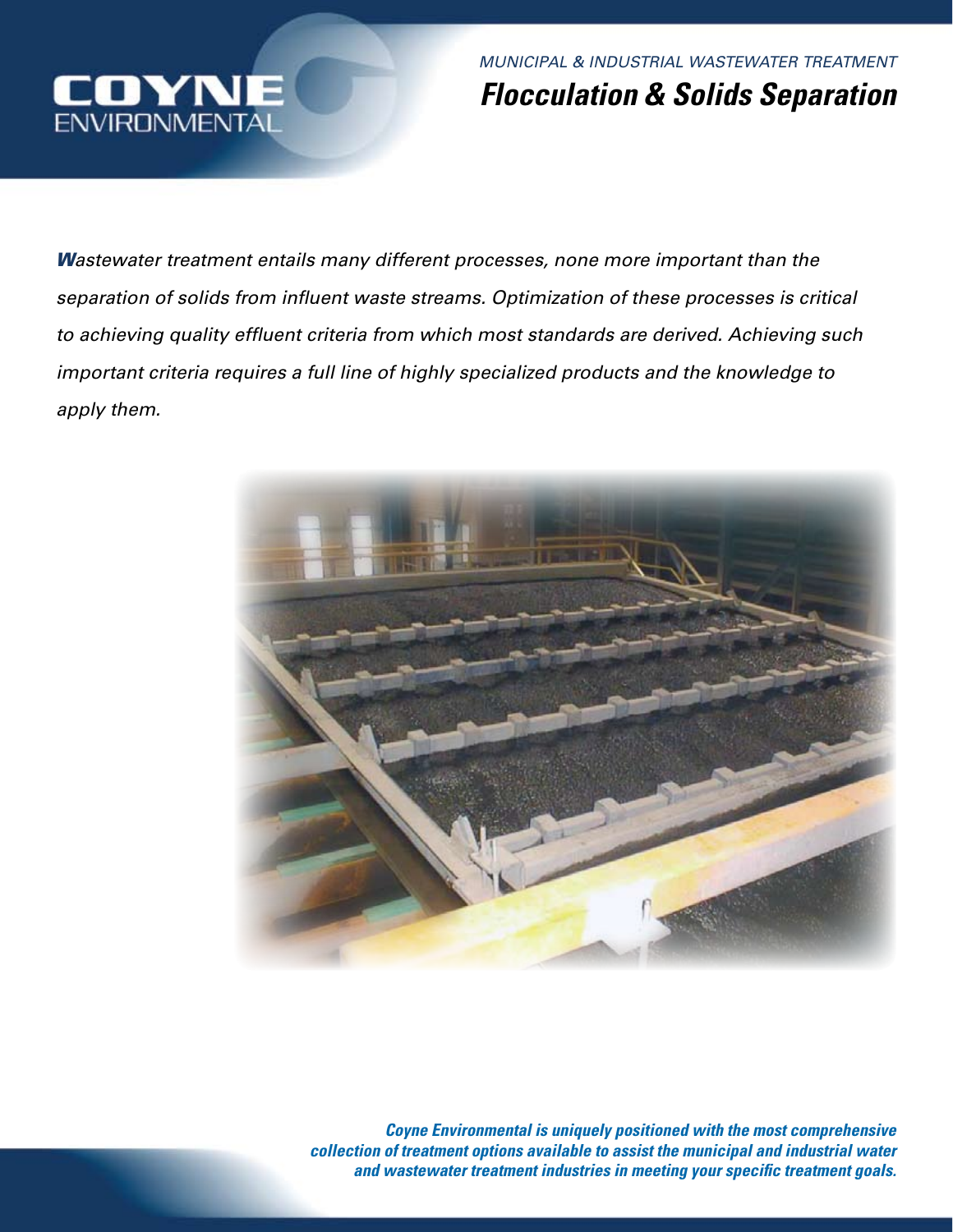

*MUNICIPAL & INDUSTRIAL WASTEWATER TREATMENT Flocculation & Solids Separation*

*Wastewater treatment entails many different processes, none more important than the separation of solids from influent waste streams. Optimization of these processes is critical to achieving quality effluent criteria from which most standards are derived. Achieving such important criteria requires a full line of highly specialized products and the knowledge to apply them.*



*Coyne Environmental is uniquely positioned with the most comprehensive collection of treatment options available to assist the municipal and industrial water and wastewater treatment industries in meeting your specific treatment goals.*